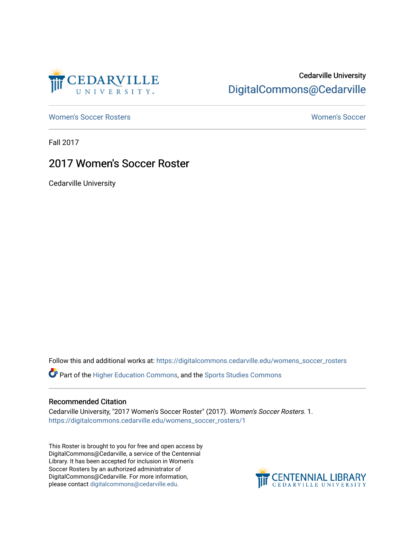

## Cedarville University [DigitalCommons@Cedarville](https://digitalcommons.cedarville.edu/)

[Women's Soccer Rosters](https://digitalcommons.cedarville.edu/womens_soccer_rosters) [Women's Soccer](https://digitalcommons.cedarville.edu/womens_soccer) 

Fall 2017

## 2017 Women's Soccer Roster

Cedarville University

Follow this and additional works at: [https://digitalcommons.cedarville.edu/womens\\_soccer\\_rosters](https://digitalcommons.cedarville.edu/womens_soccer_rosters?utm_source=digitalcommons.cedarville.edu%2Fwomens_soccer_rosters%2F1&utm_medium=PDF&utm_campaign=PDFCoverPages) 

Part of the [Higher Education Commons,](http://network.bepress.com/hgg/discipline/1245?utm_source=digitalcommons.cedarville.edu%2Fwomens_soccer_rosters%2F1&utm_medium=PDF&utm_campaign=PDFCoverPages) and the [Sports Studies Commons](http://network.bepress.com/hgg/discipline/1198?utm_source=digitalcommons.cedarville.edu%2Fwomens_soccer_rosters%2F1&utm_medium=PDF&utm_campaign=PDFCoverPages) 

## Recommended Citation

Cedarville University, "2017 Women's Soccer Roster" (2017). Women's Soccer Rosters. 1. [https://digitalcommons.cedarville.edu/womens\\_soccer\\_rosters/1](https://digitalcommons.cedarville.edu/womens_soccer_rosters/1?utm_source=digitalcommons.cedarville.edu%2Fwomens_soccer_rosters%2F1&utm_medium=PDF&utm_campaign=PDFCoverPages) 

This Roster is brought to you for free and open access by DigitalCommons@Cedarville, a service of the Centennial Library. It has been accepted for inclusion in Women's Soccer Rosters by an authorized administrator of DigitalCommons@Cedarville. For more information, please contact [digitalcommons@cedarville.edu](mailto:digitalcommons@cedarville.edu).